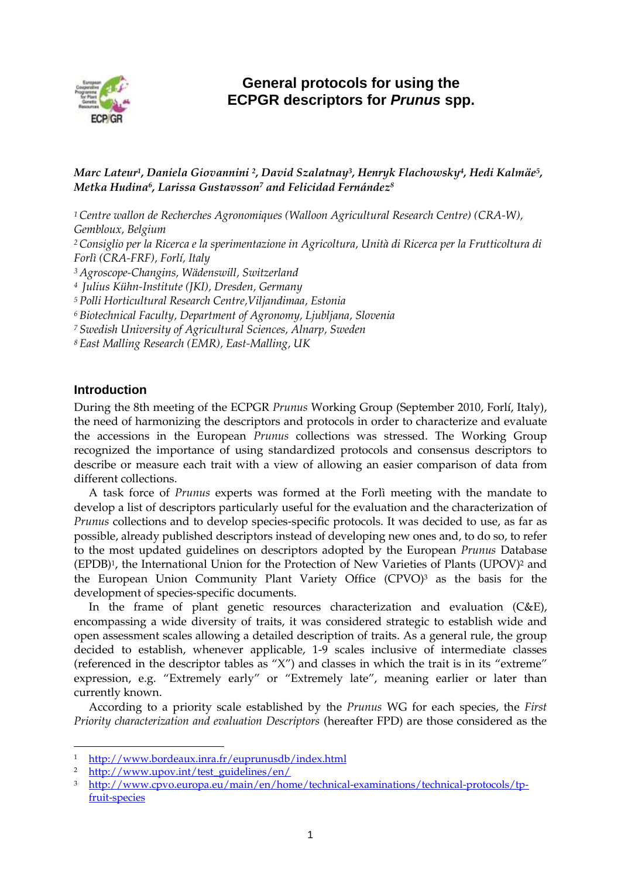

# **General protocols for using the ECPGR descriptors for** *Prunus* **spp.**

## *Marc Lateur<sup>1</sup> , Daniela Giovannini <sup>2</sup> , David Szalatnay<sup>3</sup> , Henryk Flachowsky<sup>4</sup> , Hedi Kalmäe<sup>5</sup> , Metka Hudina<sup>6</sup> , Larissa Gustavsson<sup>7</sup> and Felicidad Fernández<sup>8</sup>*

*Centre wallon de Recherches Agronomiques (Walloon Agricultural Research Centre) (CRA-W), Gembloux, Belgium Consiglio per la Ricerca e la sperimentazione in Agricoltura, Unità di Ricerca per la Frutticoltura di Forlì (CRA-FRF), Forlí, Italy Agroscope-Changins, Wädenswill, Switzerland Julius Kühn-Institute (JKI), Dresden, Germany Polli Horticultural Research Centre,Viljandimaa, Estonia Biotechnical Faculty, Department of Agronomy, Ljubljana, Slovenia Swedish University of Agricultural Sciences, Alnarp, Sweden East Malling Research (EMR), East-Malling, UK*

## **Introduction**

 $\overline{a}$ 

During the 8th meeting of the ECPGR *Prunus* Working Group (September 2010, Forlí, Italy), the need of harmonizing the descriptors and protocols in order to characterize and evaluate the accessions in the European *Prunus* collections was stressed. The Working Group recognized the importance of using standardized protocols and consensus descriptors to describe or measure each trait with a view of allowing an easier comparison of data from different collections.

A task force of *Prunus* experts was formed at the Forlì meeting with the mandate to develop a list of descriptors particularly useful for the evaluation and the characterization of *Prunus* collections and to develop species-specific protocols. It was decided to use, as far as possible, already published descriptors instead of developing new ones and, to do so, to refer to the most updated guidelines on descriptors adopted by the European *Prunus* Database (EPDB) <sup>1</sup>, the International Union for the Protection of New Varieties of Plants (UPOV) <sup>2</sup> and the European Union Community Plant Variety Office (CPVO) <sup>3</sup> as the basis for the development of species-specific documents.

In the frame of plant genetic resources characterization and evaluation (C&E), encompassing a wide diversity of traits, it was considered strategic to establish wide and open assessment scales allowing a detailed description of traits. As a general rule, the group decided to establish, whenever applicable, 1-9 scales inclusive of intermediate classes (referenced in the descriptor tables as "X") and classes in which the trait is in its "extreme" expression, e.g. "Extremely early" or "Extremely late", meaning earlier or later than currently known.

According to a priority scale established by the *Prunus* WG for each species, the *First Priority characterization and evaluation Descriptors* (hereafter FPD) are those considered as the

<sup>1</sup> <http://www.bordeaux.inra.fr/euprunusdb/index.html>

<sup>2</sup> [http://www.upov.int/test\\_guidelines/en/](http://www.upov.int/test_guidelines/en/)

<sup>3</sup> [http://www.cpvo.europa.eu/main/en/home/technical-examinations/technical-protocols/tp](http://www.cpvo.europa.eu/main/en/home/technical-examinations/technical-protocols/tp-fruit-species)[fruit-species](http://www.cpvo.europa.eu/main/en/home/technical-examinations/technical-protocols/tp-fruit-species)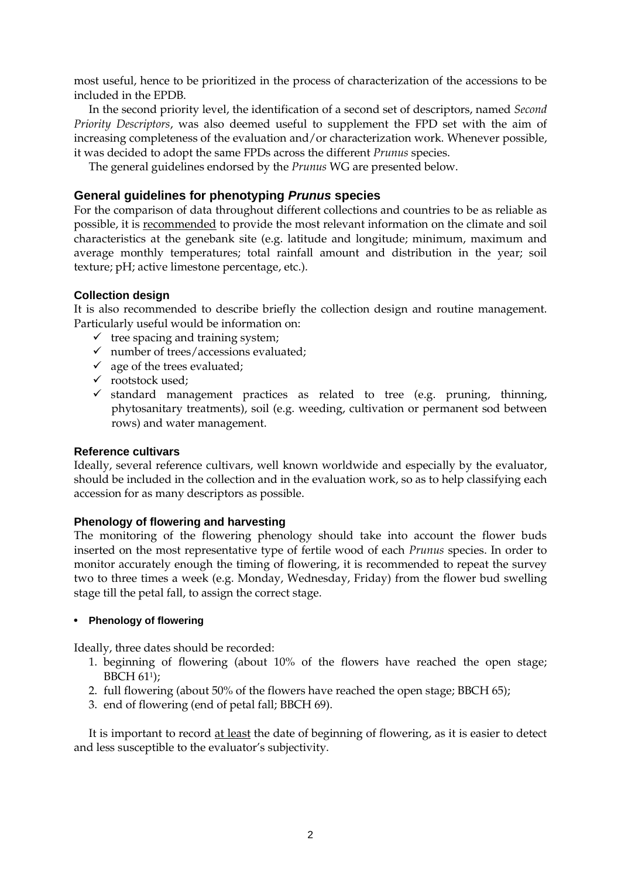most useful, hence to be prioritized in the process of characterization of the accessions to be included in the EPDB.

In the second priority level, the identification of a second set of descriptors, named *Second Priority Descriptors*, was also deemed useful to supplement the FPD set with the aim of increasing completeness of the evaluation and/or characterization work. Whenever possible, it was decided to adopt the same FPDs across the different *Prunus* species.

The general guidelines endorsed by the *Prunus* WG are presented below.

## **General guidelines for phenotyping** *Prunus* **species**

For the comparison of data throughout different collections and countries to be as reliable as possible, it is recommended to provide the most relevant information on the climate and soil characteristics at the genebank site (e.g. latitude and longitude; minimum, maximum and average monthly temperatures; total rainfall amount and distribution in the year; soil texture; pH; active limestone percentage, etc.).

#### **Collection design**

It is also recommended to describe briefly the collection design and routine management. Particularly useful would be information on:

- $\checkmark$  tree spacing and training system;
- $\checkmark$  number of trees/accessions evaluated;
- $\checkmark$  age of the trees evaluated;
- $\checkmark$  rootstock used;
- $\checkmark$  standard management practices as related to tree (e.g. pruning, thinning, phytosanitary treatments), soil (e.g. weeding, cultivation or permanent sod between rows) and water management.

### **Reference cultivars**

Ideally, several reference cultivars, well known worldwide and especially by the evaluator, should be included in the collection and in the evaluation work, so as to help classifying each accession for as many descriptors as possible.

### **Phenology of flowering and harvesting**

The monitoring of the flowering phenology should take into account the flower buds inserted on the most representative type of fertile wood of each *Prunus* species. In order to monitor accurately enough the timing of flowering, it is recommended to repeat the survey two to three times a week (e.g. Monday, Wednesday, Friday) from the flower bud swelling stage till the petal fall, to assign the correct stage.

#### • **Phenology of flowering**

Ideally, three dates should be recorded:

- 1. beginning of flowering (about 10% of the flowers have reached the open stage; BBCH 611);
- 2. full flowering (about 50% of the flowers have reached the open stage; BBCH 65);
- 3. end of flowering (end of petal fall; BBCH 69).

It is important to record at least the date of beginning of flowering, as it is easier to detect and less susceptible to the evaluator's subjectivity.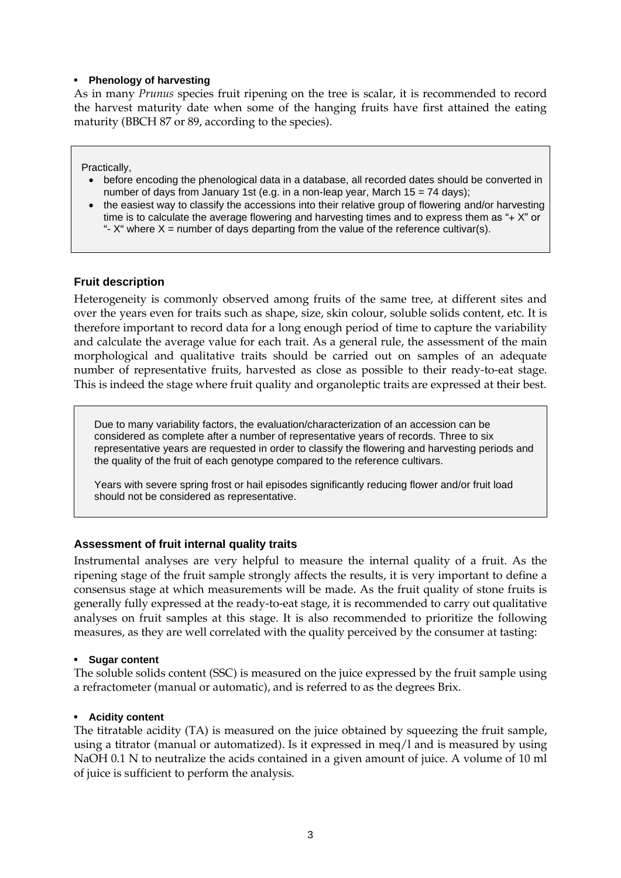#### • **Phenology of harvesting**

As in many *Prunus* species fruit ripening on the tree is scalar, it is recommended to record the harvest maturity date when some of the hanging fruits have first attained the eating maturity (BBCH 87 or 89, according to the species).

Practically,

- before encoding the phenological data in a database, all recorded dates should be converted in number of days from January 1st (e.g. in a non-leap year, March  $15 = 74$  days);
- the easiest way to classify the accessions into their relative group of flowering and/or harvesting time is to calculate the average flowering and harvesting times and to express them as "+ X" or "-  $X^*$  where  $X =$  number of days departing from the value of the reference cultivar(s).

## **Fruit description**

Heterogeneity is commonly observed among fruits of the same tree, at different sites and over the years even for traits such as shape, size, skin colour, soluble solids content, etc. It is therefore important to record data for a long enough period of time to capture the variability and calculate the average value for each trait. As a general rule, the assessment of the main morphological and qualitative traits should be carried out on samples of an adequate number of representative fruits, harvested as close as possible to their ready-to-eat stage. This is indeed the stage where fruit quality and organoleptic traits are expressed at their best.

Due to many variability factors, the evaluation/characterization of an accession can be considered as complete after a number of representative years of records. Three to six representative years are requested in order to classify the flowering and harvesting periods and the quality of the fruit of each genotype compared to the reference cultivars.

Years with severe spring frost or hail episodes significantly reducing flower and/or fruit load should not be considered as representative.

## **Assessment of fruit internal quality traits**

Instrumental analyses are very helpful to measure the internal quality of a fruit. As the ripening stage of the fruit sample strongly affects the results, it is very important to define a consensus stage at which measurements will be made. As the fruit quality of stone fruits is generally fully expressed at the ready-to-eat stage, it is recommended to carry out qualitative analyses on fruit samples at this stage. It is also recommended to prioritize the following measures, as they are well correlated with the quality perceived by the consumer at tasting:

#### • **Sugar content**

The soluble solids content (SSC) is measured on the juice expressed by the fruit sample using a refractometer (manual or automatic), and is referred to as the degrees Brix.

#### • **Acidity content**

The titratable acidity (TA) is measured on the juice obtained by squeezing the fruit sample, using a titrator (manual or automatized). Is it expressed in meq/l and is measured by using NaOH 0.1 N to neutralize the acids contained in a given amount of juice. A volume of 10 ml of juice is sufficient to perform the analysis.